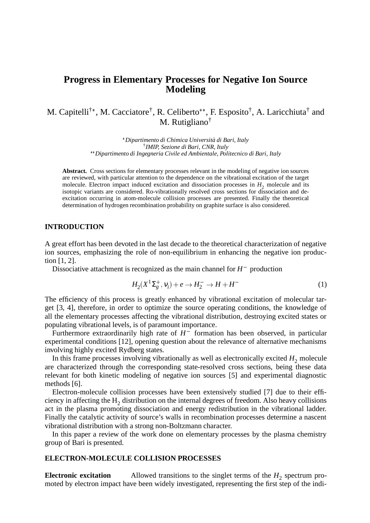# **Progress in Elementary Processes for Negative Ion Source Modeling**

M. Capitelli<sup>†\*</sup>, M. Cacciatore<sup>†</sup>, R. Celiberto<sup>\*\*</sup>, F. Esposito<sup>†</sup>, A. Laricchiuta<sup>†</sup> and M. Rutigliano†

> - *Dipartimento di Chimica Università di Bari, Italy* † *IMIP, Sezione di Bari, CNR, Italy* -- *Dipartimento di Ingegneria Civile ed Ambientale, Politecnico di Bari, Italy*

**Abstract.** Cross sections for elementary processes relevant in the modeling of negative ion sources are reviewed, with particular attention to the dependence on the vibrational excitation of the target molecule. Electron impact induced excitation and dissociation processes in  $H_2$  molecule and its isotopic variants are considered. Ro-vibrationally resolved cross sections for dissociation and deexcitation occurring in atom-molecule collision processes are presented. Finally the theoretical determination of hydrogen recombination probability on graphite surface is also considered.

#### **INTRODUCTION**

A great effort has been devoted in the last decade to the theoretical characterization of negative ion sources, emphasizing the role of non-equilibrium in enhancing the negative ion production [1, 2].

Dissociative attachment is recognized as the main channel for  $H^-$  production

$$
H_2(X^1\Sigma_g^+, \nu_i) + e \to H_2^- \to H + H^- \tag{1}
$$

The efficiency of this process is greatly enhanced by vibrational excitation of molecular target [3, 4], therefore, in order to optimize the source operating conditions, the knowledge of all the elementary processes affecting the vibrational distribution, destroying excited states or populating vibrational levels, is of paramount importance.

Furthermore extraordinarily high rate of  $H^-$  formation has been observed, in particular experimental conditions [12], opening question about the relevance of alternative mechanisms involving highly excited Rydberg states.

In this frame processes involving vibrationally as well as electronically excited  $H_2$  molecule are characterized through the corresponding state-resolved cross sections, being these data relevant for both kinetic modeling of negative ion sources [5] and experimental diagnostic methods [6].

Electron-molecule collision processes have been extensively studied [7] due to their efficiency in affecting the  $\rm{H}_{2}$  distribution on the internal degrees of freedom. Also heavy collisions act in the plasma promoting dissociation and energy redistribution in the vibrational ladder. Finally the catalytic activity of source's walls in recombination processes determine a nascent vibrational distribution with a strong non-Boltzmann character.

In this paper a review of the work done on elementary processes by the plasma chemistry group of Bari is presented.

#### **ELECTRON-MOLECULE COLLISION PROCESSES**

**Electronic excitation** Allowed transitions to the singlet terms of the  $H_2$  spectrum promoted by electron impact have been widely investigated, representing the first step of the indi-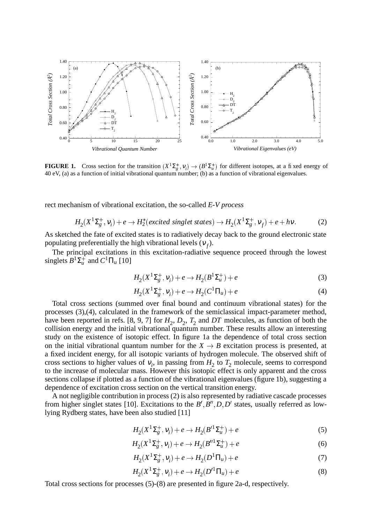

**FIGURE 1.** Cross section for the transition  $(X^1\Sigma_g^+, v_i) \to (B^1\Sigma_u^+)$  for different isotopes, at a fixed energy of 40 eV, (a) as a function of initial vibrational quantum number; (b) as a function of vibrational eigenvalues.

rect mechanism of vibrational excitation, the so-called *E-V process*

$$
H_2(X^1\Sigma_g^+, v_i) + e \to H_2^*(excited\ singlet\ states) \to H_2(X^1\Sigma_g^+, v_f) + e + hv. \tag{2}
$$

As sketched the fate of excited states is to radiatively decay back to the ground electronic state populating preferentially the high vibrational levels  $(v_f)$ .

The principal excitations in this excitation-radiative sequence proceed through the lowest singlets  $B^1\Sigma_u^+$  and  $C^1\Pi_u$  [10]

$$
H_2(X^1\Sigma_g^+, \nu_i) + e \to H_2(B^1\Sigma_u^+) + e \tag{3}
$$

$$
H_2(X^1\Sigma_g^+, \nu_i) + e \to H_2(C^1\Pi_u) + e \tag{4}
$$

Total cross sections (summed over final bound and continuum vibrational states) for the processes (3),(4), calculated in the framework of the semiclassical impact-parameter method, have been reported in refs. [8, 9, 7] for  $H_2$ ,  $D_2$ ,  $T_2$  and  $DT$  molecules, as function of both the collision energy and the initial vibrational quantum number. These results allow an interesting study on the existence of isotopic effect. In figure 1a the dependence of total cross section on the initial vibrational quantum number for the  $X \rightarrow B$  excitation process is presented, at a fixed incident energy, for all isotopic variants of hydrogen molecule. The observed shift of cross sections to higher values of  $v_i$ , in passing from  $H_2$  to  $T_2$  molecule, seems to correspond to the increase of molecular mass. However this isotopic effect is only apparent and the cross sections collapse if plotted as a function of the vibrational eigenvalues (figure 1b), suggesting a dependence of excitation cross section on the vertical transition energy.

A not negligible contribution in process (2) is also represented by radiative cascade processes from higher singlet states [10]. Excitations to the  $B', B'', D, D'$  states, usually referred as lowlying Rydberg states, have been also studied [11]

$$
H_2(X^1\Sigma_g^+, v_i) + e \to H_2(B'^1\Sigma_u^+) + e \tag{5}
$$

$$
H_2(X^1\Sigma_g^+, \nu_i) + e \to H_2(B''^1\Sigma_u^+) + e \tag{6}
$$

$$
H_2(X^1\Sigma_g^+, \nu_i) + e \to H_2(D^1\Pi_u) + e \tag{7}
$$

$$
H_2(X^1\Sigma_g^+, \nu_i) + e \to H_2(D'^1\Pi_u) + e \tag{8}
$$

Total cross sections for processes (5)-(8) are presented in figure 2a-d, respectively.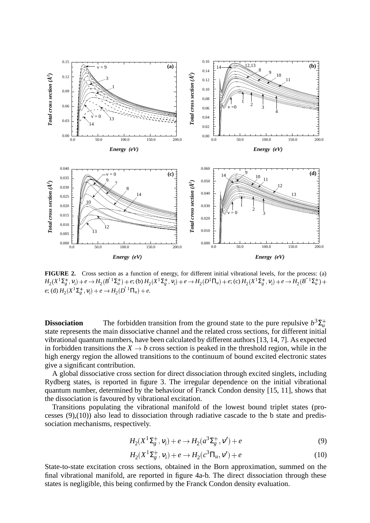

**FIGURE 2.** Cross section as a function of energy, for different initial vibrational levels, for the process: (a)  $H_2(X^1\Sigma_g^+, \nu_i)+e\to H_2(B^{'\,1}\Sigma_u^+)+e;$  (b)  $H_2(X^1\Sigma_g^+, \nu_i)+e\to H_2(D^1\Pi_u)+e;$  (c)  $H_2(X^1\Sigma_g^+, \nu_i)+e\to H_2(B^{''\,1}\Sigma_u^+)+e\to H_2(B^{'\,1}\Sigma_u^+)$  $e$ ; (d)  $H_2(X^1\Sigma_g^+, v_i) + e \rightarrow H_2(D^{'1}\Pi_u) + e$ .

**Dissociation** The forbidden transition from the ground state to the pure repulsive  $b^3\Sigma_u^+$ state represents the main dissociative channel and the related cross sections, for different initial vibrational quantum numbers, have been calculated by different authors [13, 14, 7]. As expected in forbidden transitions the  $X \rightarrow b$  cross section is peaked in the threshold region, while in the high energy region the allowed transitions to the continuum of bound excited electronic states give a significant contribution.

A global dissociative cross section for direct dissociation through excited singlets, including Rydberg states, is reported in figure 3. The irregular dependence on the initial vibrational quantum number, determined by the behaviour of Franck Condon density [15, 11], shows that the dissociation is favoured by vibrational excitation.

Transitions populating the vibrational manifold of the lowest bound triplet states (processes (9),(10)) also lead to dissociation through radiative cascade to the b state and predissociation mechanisms, respectively.

$$
H_2(X^1\Sigma_g^+, \nu_i) + e \to H_2(a^3\Sigma_g^+, \nu') + e \tag{9}
$$

$$
H_2(X^1\Sigma_g^+, \nu_i) + e \to H_2(c^3\Pi_u, \nu') + e \tag{10}
$$

State-to-state excitation cross sections, obtained in the Born approximation, summed on the final vibrational manifold, are reported in figure 4a-b. The direct dissociation through these states is negligible, this being confirmed by the Franck Condon density evaluation.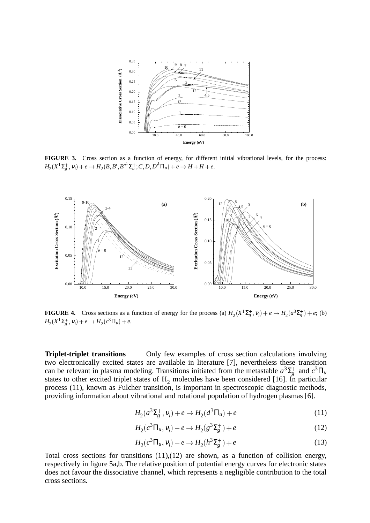

**FIGURE 3.** Cross section as a function of energy, for different initial vibrational levels, for the process:  $H_2(X^1\Sigma^+_g, v_i) + e \rightarrow H_2(B, B', B''^1\Sigma^+_u; C, D, D'^1\Pi_u) + e \rightarrow H + H + e.$ 



**FIGURE 4.** Cross sections as a function of energy for the process (a)  $H_2(X^1\Sigma_g^+, v_i) + e \rightarrow H_2(a^3\Sigma_g^+) + e$ ; (b)  $H_2(X^1\Sigma_g^+, v_i) + e \rightarrow H_2(c^3\Pi_u) + e.$ 

**Triplet-triplet transitions** Only few examples of cross section calculations involving two electronically excited states are available in literature [7], nevertheless these transition can be relevant in plasma modeling. Transitions initiated from the metastable  $a^3\Sigma_g^+$  and  $c^3\Pi_u$ states to other excited triplet states of  $H_2$  molecules have been considered [16]. In particular process (11), known as Fulcher transition, is important in spectroscopic diagnostic methods, providing information about vibrational and rotational population of hydrogen plasmas [6].

$$
H_2(a^3 \Sigma_g^+, v_i) + e \to H_2(a^3 \Pi_u) + e \tag{11}
$$

$$
H_2(c^3\Pi_u, \nu_i) + e \to H_2(g^3\Sigma_g^+) + e \tag{12}
$$

$$
H_2(c^3\Pi_u, v_i) + e \to H_2(h^3\Sigma_g^+) + e \tag{13}
$$

Total cross sections for transitions (11),(12) are shown, as a function of collision energy, respectively in figure 5a,b. The relative position of potential energy curves for electronic states does not favour the dissociative channel, which represents a negligible contribution to the total cross sections.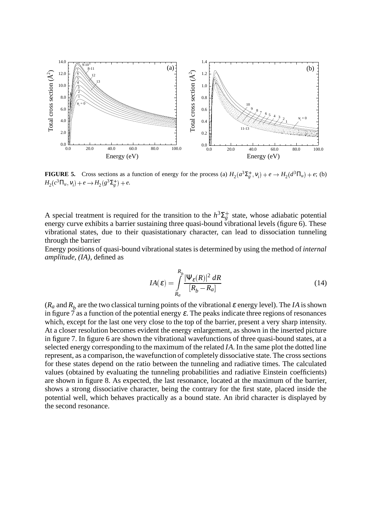

**FIGURE 5.** Cross sections as a function of energy for the process (a)  $H_2(a^3\Sigma_g^+, v_i) + e \rightarrow H_2(a^3\Pi_u) + e$ ; (b)  $H_2(c^3\Pi_u, v_i) + e \rightarrow H_2(g^3\Sigma_g^+) + e.$ 

A special treatment is required for the transition to the  $h^3\Sigma_g^+$  state, whose adiabatic potential energy curve exhibits a barrier sustaining three quasi-bound vibrational levels (figure 6). These vibrational states, due to their quasistationary character, can lead to dissociation tunneling through the barrier

Energy positions of quasi-bound vibrationalstates is determined by using the method of *internal amplitude, (IA)*, defined as

$$
IA(\varepsilon) = \int_{R_a}^{R_b} \frac{|\Psi_{\varepsilon}(R)|^2 \, dR}{[R_b - R_a]}
$$
(14)

 $(R_a$  and  $R_b$  are the two classical turning points of the vibrational  $\varepsilon$  energy level). The *IA* is shown in figure  $\tilde{\tau}$  as a function of the potential energy  $\varepsilon$ . The peaks indicate three regions of resonances which, except for the last one very close to the top of the barrier, present a very sharp intensity. At a closer resolution becomes evident the energy enlargement, as shown in the inserted picture in figure 7. In figure 6 are shown the vibrational wavefunctions of three quasi-bound states, at a selected energy corresponding to the maximum of the related *IA*. In the same plot the dotted line represent, as a comparison, the wavefunction of completely dissociative state. The cross sections for these states depend on the ratio between the tunneling and radiative times. The calculated values (obtained by evaluating the tunneling probabilities and radiative Einstein coefficients) are shown in figure 8. As expected, the last resonance, located at the maximum of the barrier, shows a strong dissociative character, being the contrary for the first state, placed inside the potential well, which behaves practically as a bound state. An ibrid character is displayed by the second resonance.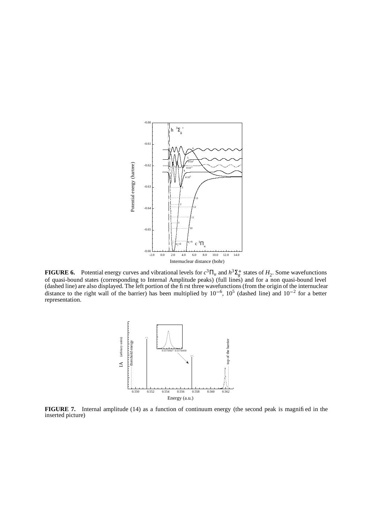

**FIGURE 6.** Potential energy curves and vibrational levels for  $c^3 \Pi_u$  and  $h^3 \Sigma_g^+$  states of  $H_2$ . Some wavefunctions of quasi-bound states (corresponding to Internal Amplitude peaks) (full lines) and for a non quasi-bound level (dashed line) are also displayed. The left portion of the first three wavefunctions (from the origin of the internuclear distance to the right wall of the barrier) has been multiplied by  $10^{-6}$ ,  $10^5$  (dashed line) and  $10^{-2}$  for a better representation.



**FIGURE 7.** Internal amplitude (14) as a function of continuum energy (the second peak is magnified in the inserted picture)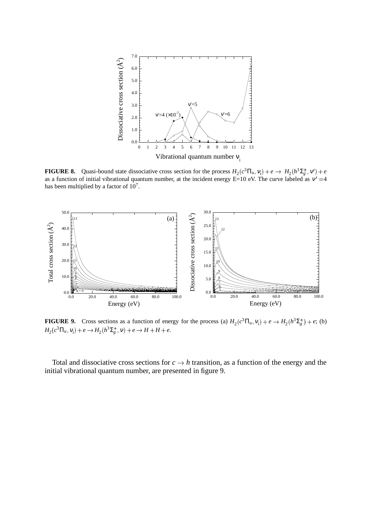

**FIGURE 8.** Quasi-bound state dissociative cross section for the process  $H_2(c^3 \Pi_u, v_i) + e \rightarrow H_2(h^3 \Sigma_g^+, v') + e$ as a function of initial vibrational quantum number, at the incident energy  $E=10$  eV. The curve labeled as  $v' = 4$ has been multiplied by a factor of  $10<sup>7</sup>$ .



**FIGURE 9.** Cross sections as a function of energy for the process (a)  $H_2(c^3\Pi_u, v_i) + e \rightarrow H_2(h^3\Sigma_g^+) + e$ ; (b)  $H_2(c^3\Pi_u, v_i) + e \rightarrow H_2(h^3\Sigma_g^+, v) + e \rightarrow H + H + e.$ 

Total and dissociative cross sections for  $c \rightarrow h$  transition, as a function of the energy and the initial vibrational quantum number, are presented in figure 9.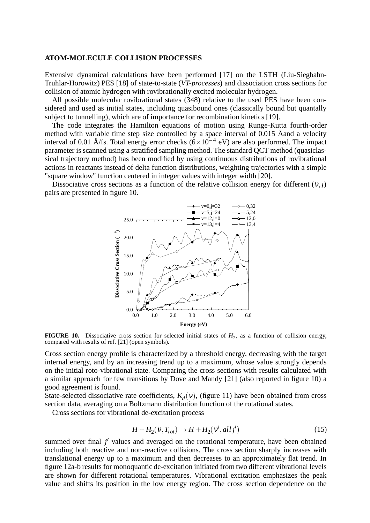### **ATOM-MOLECULE COLLISION PROCESSES**

Extensive dynamical calculations have been performed [17] on the LSTH (Liu-Siegbahn-Truhlar-Horowitz) PES [18] of state-to-state (*VT-processes*) and dissociation cross sections for collision of atomic hydrogen with rovibrationally excited molecular hydrogen.

All possible molecular rovibrational states (348) relative to the used PES have been considered and used as initial states, including quasibound ones (classically bound but quantally subject to tunnelling), which are of importance for recombination kinetics [19].

The code integrates the Hamilton equations of motion using Runge-Kutta fourth-order method with variable time step size controlled by a space interval of 0.015 Åand a velocity interval of 0.01 Å/fs. Total energy error checks  $(6 \times 10^{-4} \text{ eV})$  are also performed. The impact parameter is scanned using a stratified sampling method. The standard QCT method (quasiclassical trajectory method) has been modified by using continuous distributions of rovibrational actions in reactants instead of delta function distributions, weighting trajectories with a simple "square window" function centered in integer values with integer width [20].

Dissociative cross sections as a function of the relative collision energy for different  $(v, j)$ pairs are presented in figure 10.



**FIGURE 10.** Dissociative cross section for selected initial states of  $H_2$ , as a function of collision energy, compared with results of ref. [21] (open symbols).

Cross section energy profile is characterized by a threshold energy, decreasing with the target internal energy, and by an increasing trend up to a maximum, whose value strongly depends on the initial roto-vibrational state. Comparing the cross sections with results calculated with a similar approach for few transitions by Dove and Mandy [21] (also reported in figure 10) a good agreement is found.

State-selected dissociative rate coefficients,  $K_d(v)$ , (figure 11) have been obtained from cross section data, averaging on a Boltzmann distribution function of the rotational states.

Cross sections for vibrational de-excitation process

$$
H + H_2(v, T_{rot}) \rightarrow H + H_2(v', all j') \tag{15}
$$

summed over final *j'* values and averaged on the rotational temperature, have been obtained including both reactive and non-reactive collisions. The cross section sharply increases with translational energy up to a maximum and then decreases to an approximately flat trend. In figure 12a-b results for monoquantic de-excitation initiated from two different vibrational levels are shown for different rotational temperatures. Vibrational excitation emphasizes the peak value and shifts its position in the low energy region. The cross section dependence on the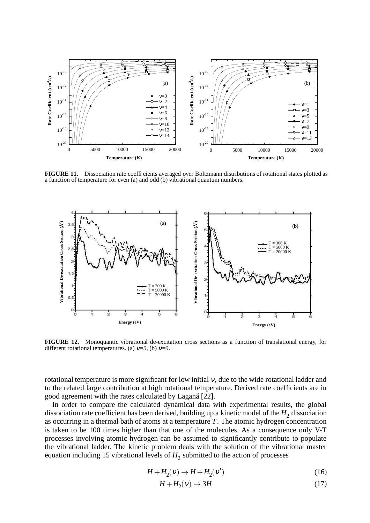

**FIGURE 11.** Dissociation rate coefficients averaged over Boltzmann distributions of rotational states plotted as a function of temperature for even (a) and odd (b) vibrational quantum numbers.



**FIGURE 12.** Monoquantic vibrational de-excitation cross sections as a function of translational energy, for different rotational temperatures. (a)  $v=5$ , (b)  $v=9$ .

rotational temperature is more significant for low initial  $v$ , due to the wide rotational ladder and to the related large contribution at high rotational temperature. Derived rate coefficients are in good agreement with the rates calculated by Laganá [22].

In order to compare the calculated dynamical data with experimental results, the global dissociation rate coefficient has been derived, building up a kinetic model of the  $H_2$  dissociation as occurring in a thermal bath of atoms at a temperature  $T$ . The atomic hydrogen concentration is taken to be 100 times higher than that one of the molecules. As a consequence only V-T processes involving atomic hydrogen can be assumed to significantly contribute to populate the vibrational ladder. The kinetic problem deals with the solution of the vibrational master equation including 15 vibrational levels of  $H_2$  submitted to the action of processes

$$
H + H_2(v) \rightarrow H + H_2(v')
$$
\n<sup>(16)</sup>

$$
H + H_2(v) \to 3H \tag{17}
$$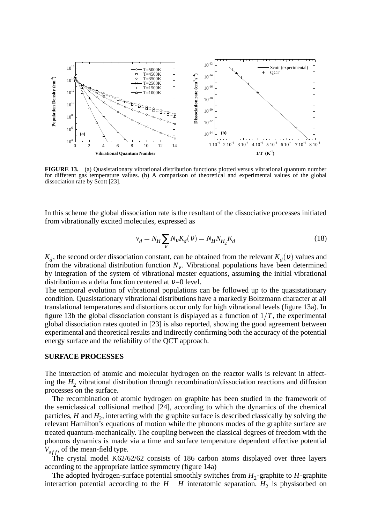

**FIGURE 13.** (a) Quasistationary vibrational distribution functions plotted versus vibrational quantum number for different gas temperature values. (b) A comparison of theoretical and experimental values of the global dissociation rate by Scott [23].

In this scheme the global dissociation rate is the resultant of the dissociative processes initiated from vibrationally excited molecules, expressed as

$$
v_d = N_H \sum_{v} N_v K_d(v) = N_H N_{H_2} K_d
$$
\n(18)

*K<sub>d</sub>*, the second order dissociation constant, can be obtained from the relevant  $K_d(v)$  values and from the vibrational distribution function  $N_{\nu}$ . Vibrational populations have been determined by integration of the system of vibrational master equations, assuming the initial vibrational distribution as a delta function centered at  $v=0$  level.

The temporal evolution of vibrational populations can be followed up to the quasistationary condition. Quasistationary vibrational distributions have a markedly Boltzmann character at all translational temperatures and distortions occur only for high vibrational levels (figure 13a). In figure 13b the global dissociation constant is displayed as a function of  $1/T$ , the experimental global dissociation rates quoted in [23] is also reported, showing the good agreement between experimental and theoretical results and indirectly confirming both the accuracy of the potential energy surface and the reliability of the QCT approach.

#### **SURFACE PROCESSES**

The interaction of atomic and molecular hydrogen on the reactor walls is relevant in affecting the  $H_2$  vibrational distribution through recombination/dissociation reactions and diffusion processes on the surface.

The recombination of atomic hydrogen on graphite has been studied in the framework of the semiclassical collisional method [24], according to which the dynamics of the chemical particles,  $H$  and  $H_2$ , interacting with the graphite surface is described classically by solving the relevant Hamilton's equations of motion while the phonons modes of the graphite surface are treated quantum-mechanically. The coupling between the classical degrees of freedom with the phonons dynamics is made via a time and surface temperature dependent effective potential  $V_{eff}$ , of the mean-field type.

The crystal model K62/62/62 consists of 186 carbon atoms displayed over three layers according to the appropriate lattice symmetry (figure 14a)

The adopted hydrogen-surface potential smoothly switches from  $H_2$ -graphite to  $H$ -graphite interaction potential according to the  $H - H$  interatomic separation.  $H_2$  is physisorbed on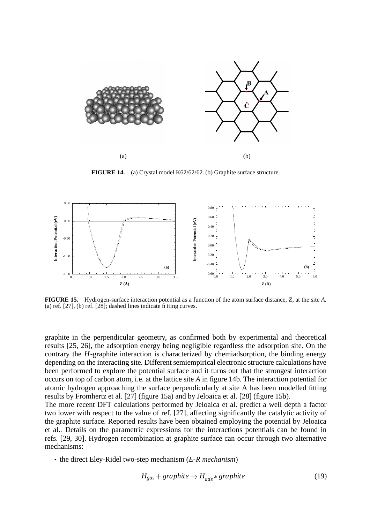

**FIGURE 14.** (a) Crystal model K62/62/62. (b) Graphite surface structure.



**FIGURE 15.** Hydrogen-surface interaction potential as a function of the atom surface distance, *Z*, at the site *A*. (a) ref. [27], (b) ref. [28]; dashed lines indicate fitting curves.

graphite in the perpendicular geometry, as confirmed both by experimental and theoretical results [25, 26], the adsorption energy being negligible regardless the adsorption site. On the contrary the *H*-graphite interaction is characterized by chemiadsorption, the binding energy depending on the interacting site. Different semiempirical electronic structure calculations have been performed to explore the potential surface and it turns out that the strongest interaction occurs on top of carbon atom, i.e. at the lattice site *A* in figure 14b. The interaction potential for atomic hydrogen approaching the surface perpendicularly at site A has been modelled fitting results by Fromhertz et al. [27] (figure 15a) and by Jeloaica et al. [28] (figure 15b).

The more recent DFT calculations performed by Jeloaica et al. predict a well depth a factor two lower with respect to the value of ref. [27], affecting significantly the catalytic activity of the graphite surface. Reported results have been obtained employing the potential by Jeloaica et al.. Details on the parametric expressions for the interactions potentials can be found in refs. [29, 30]. Hydrogen recombination at graphite surface can occur through two alternative mechanisms:

• the direct Eley-Ridel two-step mechanism (*E-R mechanism*)

$$
H_{gas} + graphite \rightarrow H_{ads} * graphite
$$
 (19)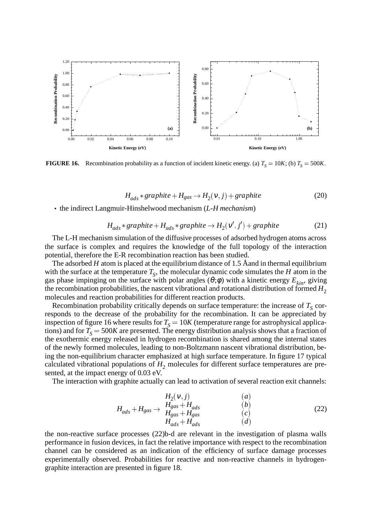

**FIGURE 16.** Recombination probability as a function of incident kinetic energy. (a)  $T_s = 10K$ ; (b)  $T_s = 500K$ .

$$
H_{ads} * graphite + H_{gas} \rightarrow H_2(v, j) + graphite
$$
 (20)

• the indirect Langmuir-Hinshelwood mechanism (*L-H mechanism*)

$$
H_{ads} * graphite + H_{ads} * graphite \rightarrow H_2(v', j') + graphite
$$
 (21)

The L-H mechanism simulation of the diffusive processes of adsorbed hydrogen atoms across the surface is complex and requires the knowledge of the full topology of the interaction potential, therefore the E-R recombination reaction has been studied.

The adsorbed *H* atom is placed at the equilibrium distance of 1.5 Åand in thermal equilibrium with the surface at the temperature  $T_S$ , the molecular dynamic code simulates the *H* atom in the gas phase impinging on the surface with polar angles ( $\theta$ ; $\phi$ ) with a kinetic energy  $E_{kin}$ , giving the recombination probabilities, the nascent vibrational and rotational distribution of formed  $H_2$ molecules and reaction probabilities for different reaction products.

Recombination probability critically depends on surface temperature: the increase of  $T<sub>S</sub>$  corresponds to the decrease of the probability for the recombination. It can be appreciated by inspection of figure 16 where results for  $T<sub>S</sub> = 10K$  (temperature range for astrophysical applications) and for  $T_S = 500K$  are presented. The energy distribution analysis shows that a fraction of the exothermic energy released in hydrogen recombination is shared among the internal states of the newly formed molecules, leading to non-Boltzmann nascent vibrational distribution, being the non-equilibrium character emphasized at high surface temperature. In figure 17 typical calculated vibrational populations of  $H_2$  molecules for different surface temperatures are presented, at the impact energy of 0.03 eV.

The interaction with graphite actually can lead to activation of several reaction exit channels:

$$
H_{ads} + H_{gas} \rightarrow \begin{array}{ccc} H_2(\nu, j) & (a) \\ H_{gas} + H_{ads} & (b) \\ H_{gas} + H_{gas} & (c) \\ H_{ads} + H_{ads} & (d) \end{array} \tag{22}
$$

the non-reactive surface processes (22)b-d are relevant in the investigation of plasma walls performance in fusion devices, in fact the relative importance with respect to the recombination channel can be considered as an indication of the efficiency of surface damage processes experimentally observed. Probabilities for reactive and non-reactive channels in hydrogengraphite interaction are presented in figure 18.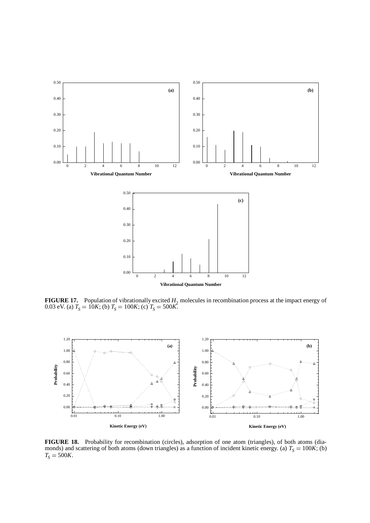

**FIGURE 17.** Population of vibrationally excited  $H_2$  molecules in recombination process at the impact energy of 0.03 eV. (a)  $T_s = 10K$ ; (b)  $T_s = 100K$ ; (c)  $T_s = 500K$ .



**FIGURE 18.** Probability for recombination (circles), adsorption of one atom (triangles), of both atoms (diamonds) and scattering of both atoms (down triangles) as a function of incident kinetic energy. (a)  $T<sub>S</sub> = 100K$ ; (b)  $T_S = 500K$ .